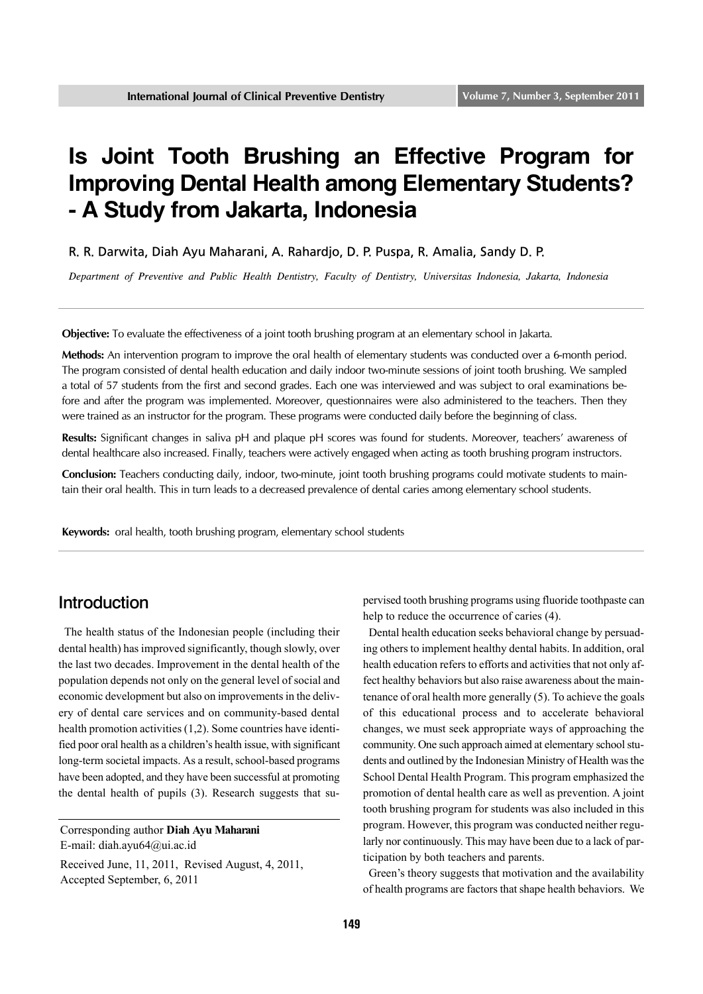# **Is Joint Tooth Brushing an Effective Program for Improving Dental Health among Elementary Students? - A Study from Jakarta, Indonesia**

R. R. Darwita, Diah Ayu Maharani, A. Rahardjo, D. P. Puspa, R. Amalia, Sandy D. P.

*Department of Preventive and Public Health Dentistry, Faculty of Dentistry, Universitas Indonesia, Jakarta, Indonesia*

**Objective:** To evaluate the effectiveness of a joint tooth brushing program at an elementary school in Jakarta.

**Methods:** An intervention program to improve the oral health of elementary students was conducted over a 6-month period. The program consisted of dental health education and daily indoor two-minute sessions of joint tooth brushing. We sampled a total of 57 students from the first and second grades. Each one was interviewed and was subject to oral examinations before and after the program was implemented. Moreover, questionnaires were also administered to the teachers. Then they were trained as an instructor for the program. These programs were conducted daily before the beginning of class.

**Results:** Significant changes in saliva pH and plaque pH scores was found for students. Moreover, teachers' awareness of dental healthcare also increased. Finally, teachers were actively engaged when acting as tooth brushing program instructors.

**Conclusion:** Teachers conducting daily, indoor, two-minute, joint tooth brushing programs could motivate students to maintain their oral health. This in turn leads to a decreased prevalence of dental caries among elementary school students.

**Keywords:** oral health, tooth brushing program, elementary school students

#### Introduction

 The health status of the Indonesian people (including their dental health) has improved significantly, though slowly, over the last two decades. Improvement in the dental health of the population depends not only on the general level of social and economic development but also on improvements in the delivery of dental care services and on community-based dental health promotion activities (1,2). Some countries have identified poor oral health as a children's health issue, with significant long-term societal impacts. As a result, school-based programs have been adopted, and they have been successful at promoting the dental health of pupils (3). Research suggests that su-

E-mail: diah.ayu64@ui.ac.id

pervised tooth brushing programs using fluoride toothpaste can help to reduce the occurrence of caries (4).

 Dental health education seeks behavioral change by persuading others to implement healthy dental habits. In addition, oral health education refers to efforts and activities that not only affect healthy behaviors but also raise awareness about the maintenance of oral health more generally (5). To achieve the goals of this educational process and to accelerate behavioral changes, we must seek appropriate ways of approaching the community. One such approach aimed at elementary school students and outlined by the Indonesian Ministry of Health was the School Dental Health Program. This program emphasized the promotion of dental health care as well as prevention. A joint tooth brushing program for students was also included in this program. However, this program was conducted neither regularly nor continuously. This may have been due to a lack of participation by both teachers and parents.

 Green's theory suggests that motivation and the availability of health programs are factors that shape health behaviors. We

Corresponding author **Diah Ayu Maharani**

Received June, 11, 2011, Revised August, 4, 2011, Accepted September, 6, 2011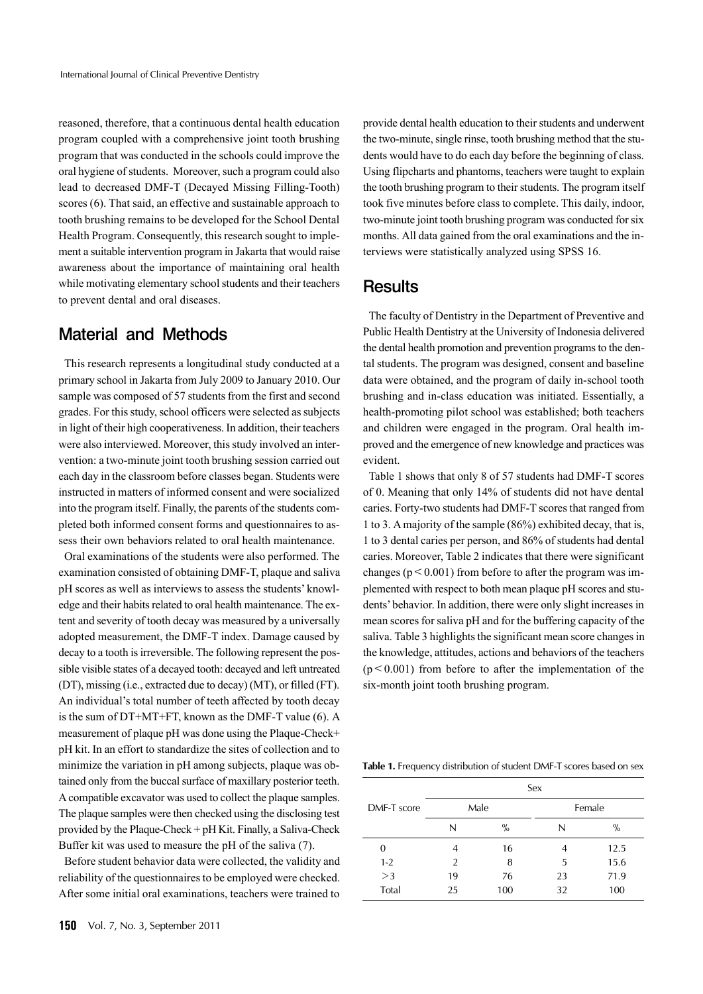reasoned, therefore, that a continuous dental health education program coupled with a comprehensive joint tooth brushing program that was conducted in the schools could improve the oral hygiene of students. Moreover, such a program could also lead to decreased DMF-T (Decayed Missing Filling-Tooth) scores (6). That said, an effective and sustainable approach to tooth brushing remains to be developed for the School Dental Health Program. Consequently, this research sought to implement a suitable intervention program in Jakarta that would raise awareness about the importance of maintaining oral health while motivating elementary school students and their teachers to prevent dental and oral diseases.

### Material and Methods

 This research represents a longitudinal study conducted at a primary school in Jakarta from July 2009 to January 2010. Our sample was composed of 57 students from the first and second grades. For this study, school officers were selected as subjects in light of their high cooperativeness. In addition, their teachers were also interviewed. Moreover, this study involved an intervention: a two-minute joint tooth brushing session carried out each day in the classroom before classes began. Students were instructed in matters of informed consent and were socialized into the program itself. Finally, the parents of the students completed both informed consent forms and questionnaires to assess their own behaviors related to oral health maintenance.

 Oral examinations of the students were also performed. The examination consisted of obtaining DMF-T, plaque and saliva pH scores as well as interviews to assess the students' knowledge and their habits related to oral health maintenance. The extent and severity of tooth decay was measured by a universally adopted measurement, the DMF-T index. Damage caused by decay to a tooth is irreversible. The following represent the possible visible states of a decayed tooth: decayed and left untreated (DT), missing (i.e., extracted due to decay) (MT), or filled (FT). An individual's total number of teeth affected by tooth decay is the sum of DT+MT+FT, known as the DMF-T value (6). A measurement of plaque pH was done using the Plaque-Check+ pH kit. In an effort to standardize the sites of collection and to minimize the variation in pH among subjects, plaque was obtained only from the buccal surface of maxillary posterior teeth. A compatible excavator was used to collect the plaque samples. The plaque samples were then checked using the disclosing test provided by the Plaque-Check + pH Kit. Finally, a Saliva-Check Buffer kit was used to measure the pH of the saliva (7).

 Before student behavior data were collected, the validity and reliability of the questionnaires to be employed were checked. After some initial oral examinations, teachers were trained to

provide dental health education to their students and underwent the two-minute, single rinse, tooth brushing method that the students would have to do each day before the beginning of class. Using flipcharts and phantoms, teachers were taught to explain the tooth brushing program to their students. The program itself took five minutes before class to complete. This daily, indoor, two-minute joint tooth brushing program was conducted for six months. All data gained from the oral examinations and the interviews were statistically analyzed using SPSS 16.

#### **Results**

 The faculty of Dentistry in the Department of Preventive and Public Health Dentistry at the University of Indonesia delivered the dental health promotion and prevention programs to the dental students. The program was designed, consent and baseline data were obtained, and the program of daily in-school tooth brushing and in-class education was initiated. Essentially, a health-promoting pilot school was established; both teachers and children were engaged in the program. Oral health improved and the emergence of new knowledge and practices was evident.

 Table 1 shows that only 8 of 57 students had DMF-T scores of 0. Meaning that only 14% of students did not have dental caries. Forty-two students had DMF-T scores that ranged from 1 to 3. A majority of the sample (86%) exhibited decay, that is, 1 to 3 dental caries per person, and 86% of students had dental caries. Moreover, Table 2 indicates that there were significant changes ( $p < 0.001$ ) from before to after the program was implemented with respect to both mean plaque pH scores and students' behavior. In addition, there were only slight increases in mean scores for saliva pH and for the buffering capacity of the saliva. Table 3 highlights the significant mean score changes in the knowledge, attitudes, actions and behaviors of the teachers  $(p<0.001)$  from before to after the implementation of the six-month joint tooth brushing program.

**Table 1.** Frequency distribution of student DMF-T scores based on sex

|             | Sex           |      |        |      |  |
|-------------|---------------|------|--------|------|--|
| DMF-T score | Male          |      | Female |      |  |
|             | N             | $\%$ | N      | $\%$ |  |
| 0           | 4             | 16   |        | 12.5 |  |
| $1 - 2$     | $\mathcal{P}$ | 8    | 5      | 15.6 |  |
| >3          | 19            | 76   | 23     | 71.9 |  |
| Total       | 25            | 100  | 32     | 100  |  |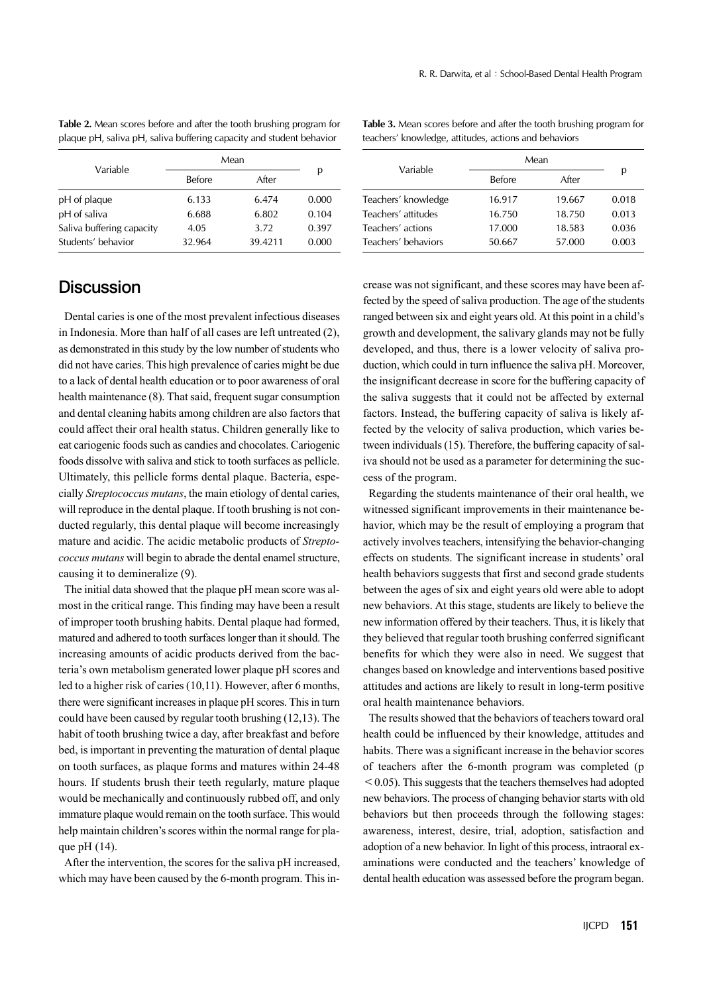**Table 2.** Mean scores before and after the tooth brushing program for plaque pH, saliva pH, saliva buffering capacity and student behavior

| Variable                  | Mean          |         |       |
|---------------------------|---------------|---------|-------|
|                           | <b>Before</b> | After   | р     |
| pH of plaque              | 6.133         | 6.474   | 0.000 |
| pH of saliva              | 6.688         | 6.802   | 0.104 |
| Saliva buffering capacity | 4.05          | 3.72    | 0.397 |
| Students' behavior        | 32.964        | 39.4211 | 0.000 |

**Table 3.** Mean scores before and after the tooth brushing program for teachers' knowledge, attitudes, actions and behaviors

# **Discussion**

 Dental caries is one of the most prevalent infectious diseases in Indonesia. More than half of all cases are left untreated (2), as demonstrated in this study by the low number of students who did not have caries. This high prevalence of caries might be due to a lack of dental health education or to poor awareness of oral health maintenance (8). That said, frequent sugar consumption and dental cleaning habits among children are also factors that could affect their oral health status. Children generally like to eat cariogenic foods such as candies and chocolates. Cariogenic foods dissolve with saliva and stick to tooth surfaces as pellicle. Ultimately, this pellicle forms dental plaque. Bacteria, especially *Streptococcus mutans*, the main etiology of dental caries, will reproduce in the dental plaque. If tooth brushing is not conducted regularly, this dental plaque will become increasingly mature and acidic. The acidic metabolic products of *Streptococcus mutans* will begin to abrade the dental enamel structure, causing it to demineralize (9).

 The initial data showed that the plaque pH mean score was almost in the critical range. This finding may have been a result of improper tooth brushing habits. Dental plaque had formed, matured and adhered to tooth surfaces longer than it should. The increasing amounts of acidic products derived from the bacteria's own metabolism generated lower plaque pH scores and led to a higher risk of caries (10,11). However, after 6 months, there were significant increases in plaque pH scores. This in turn could have been caused by regular tooth brushing (12,13). The habit of tooth brushing twice a day, after breakfast and before bed, is important in preventing the maturation of dental plaque on tooth surfaces, as plaque forms and matures within 24-48 hours. If students brush their teeth regularly, mature plaque would be mechanically and continuously rubbed off, and only immature plaque would remain on the tooth surface. This would help maintain children's scores within the normal range for plaque pH (14).

 After the intervention, the scores for the saliva pH increased, which may have been caused by the 6-month program. This in-

| Mean          |        |       |
|---------------|--------|-------|
| <b>Before</b> | After  | р     |
| 16.917        | 19.667 | 0.018 |
| 16.750        | 18.750 | 0.013 |
| 17.000        | 18.583 | 0.036 |
| 50.667        | 57.000 | 0.003 |
|               |        |       |

crease was not significant, and these scores may have been affected by the speed of saliva production. The age of the students ranged between six and eight years old. At this point in a child's growth and development, the salivary glands may not be fully developed, and thus, there is a lower velocity of saliva production, which could in turn influence the saliva pH. Moreover, the insignificant decrease in score for the buffering capacity of the saliva suggests that it could not be affected by external factors. Instead, the buffering capacity of saliva is likely affected by the velocity of saliva production, which varies between individuals (15). Therefore, the buffering capacity of saliva should not be used as a parameter for determining the success of the program.

 Regarding the students maintenance of their oral health, we witnessed significant improvements in their maintenance behavior, which may be the result of employing a program that actively involves teachers, intensifying the behavior-changing effects on students. The significant increase in students' oral health behaviors suggests that first and second grade students between the ages of six and eight years old were able to adopt new behaviors. At this stage, students are likely to believe the new information offered by their teachers. Thus, it is likely that they believed that regular tooth brushing conferred significant benefits for which they were also in need. We suggest that changes based on knowledge and interventions based positive attitudes and actions are likely to result in long-term positive oral health maintenance behaviors.

 The results showed that the behaviors of teachers toward oral health could be influenced by their knowledge, attitudes and habits. There was a significant increase in the behavior scores of teachers after the 6-month program was completed (p  $\leq$  0.05). This suggests that the teachers themselves had adopted new behaviors. The process of changing behavior starts with old behaviors but then proceeds through the following stages: awareness, interest, desire, trial, adoption, satisfaction and adoption of a new behavior. In light of this process, intraoral examinations were conducted and the teachers' knowledge of dental health education was assessed before the program began.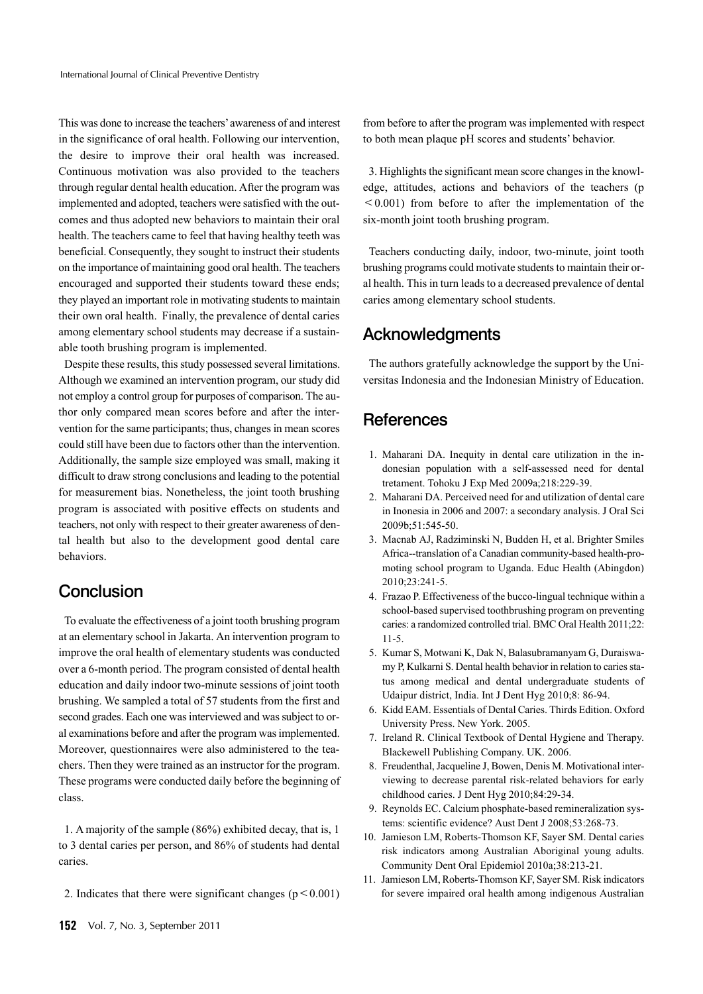This was done to increase the teachers' awareness of and interest in the significance of oral health. Following our intervention, the desire to improve their oral health was increased. Continuous motivation was also provided to the teachers through regular dental health education. After the program was implemented and adopted, teachers were satisfied with the outcomes and thus adopted new behaviors to maintain their oral health. The teachers came to feel that having healthy teeth was beneficial. Consequently, they sought to instruct their students on the importance of maintaining good oral health. The teachers encouraged and supported their students toward these ends; they played an important role in motivating students to maintain their own oral health. Finally, the prevalence of dental caries among elementary school students may decrease if a sustainable tooth brushing program is implemented.

 Despite these results, this study possessed several limitations. Although we examined an intervention program, our study did not employ a control group for purposes of comparison. The author only compared mean scores before and after the intervention for the same participants; thus, changes in mean scores could still have been due to factors other than the intervention. Additionally, the sample size employed was small, making it difficult to draw strong conclusions and leading to the potential for measurement bias. Nonetheless, the joint tooth brushing program is associated with positive effects on students and teachers, not only with respect to their greater awareness of dental health but also to the development good dental care behaviors.

# **Conclusion**

 To evaluate the effectiveness of a joint tooth brushing program at an elementary school in Jakarta. An intervention program to improve the oral health of elementary students was conducted over a 6-month period. The program consisted of dental health education and daily indoor two-minute sessions of joint tooth brushing. We sampled a total of 57 students from the first and second grades. Each one was interviewed and was subject to oral examinations before and after the program was implemented. Moreover, questionnaires were also administered to the teachers. Then they were trained as an instructor for the program. These programs were conducted daily before the beginning of class.

 1. A majority of the sample (86%) exhibited decay, that is, 1 to 3 dental caries per person, and 86% of students had dental caries.

2. Indicates that there were significant changes ( $p \le 0.001$ )

from before to after the program was implemented with respect to both mean plaque pH scores and students' behavior.

 3. Highlights the significant mean score changes in the knowledge, attitudes, actions and behaviors of the teachers (p  $\leq 0.001$ ) from before to after the implementation of the six-month joint tooth brushing program.

 Teachers conducting daily, indoor, two-minute, joint tooth brushing programs could motivate students to maintain their oral health. This in turn leads to a decreased prevalence of dental caries among elementary school students.

# Acknowledgments

 The authors gratefully acknowledge the support by the Universitas Indonesia and the Indonesian Ministry of Education.

# **References**

- 1. Maharani DA. Inequity in dental care utilization in the indonesian population with a self-assessed need for dental tretament. Tohoku J Exp Med 2009a;218:229-39.
- 2. Maharani DA. Perceived need for and utilization of dental care in Inonesia in 2006 and 2007: a secondary analysis. J Oral Sci 2009b;51:545-50.
- 3. Macnab AJ, Radziminski N, Budden H, et al. Brighter Smiles Africa--translation of a Canadian community-based health-promoting school program to Uganda. Educ Health (Abingdon) 2010;23:241-5.
- 4. Frazao P. Effectiveness of the bucco-lingual technique within a school-based supervised toothbrushing program on preventing caries: a randomized controlled trial. BMC Oral Health 2011;22: 11-5.
- 5. Kumar S, Motwani K, Dak N, Balasubramanyam G, Duraiswamy P, Kulkarni S. Dental health behavior in relation to caries status among medical and dental undergraduate students of Udaipur district, India. Int J Dent Hyg 2010;8: 86-94.
- 6. Kidd EAM. Essentials of Dental Caries. Thirds Edition. Oxford University Press. New York. 2005.
- 7. Ireland R. Clinical Textbook of Dental Hygiene and Therapy. Blackewell Publishing Company. UK. 2006.
- 8. Freudenthal, Jacqueline J, Bowen, Denis M. Motivational interviewing to decrease parental risk-related behaviors for early childhood caries. J Dent Hyg 2010;84:29-34.
- 9. Reynolds EC. Calcium phosphate-based remineralization systems: scientific evidence? Aust Dent J 2008;53:268-73.
- 10. Jamieson LM, Roberts-Thomson KF, Sayer SM. Dental caries risk indicators among Australian Aboriginal young adults. Community Dent Oral Epidemiol 2010a;38:213-21.
- 11. Jamieson LM, Roberts-Thomson KF, Sayer SM. Risk indicators for severe impaired oral health among indigenous Australian